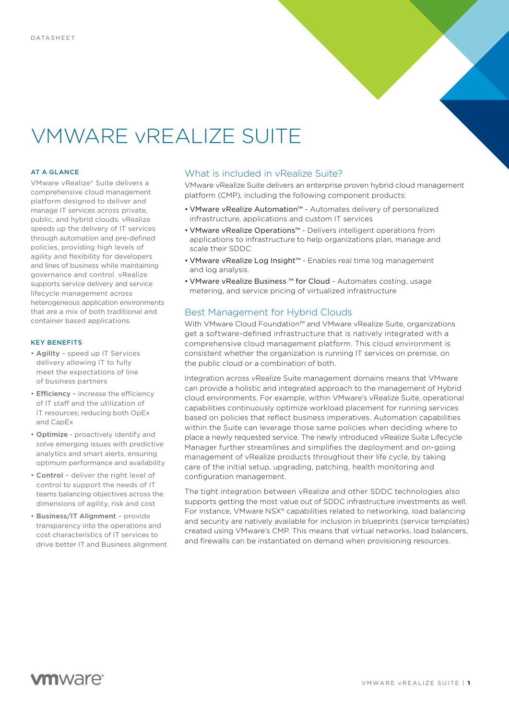# VMWARE vREALIZE SUITE

#### AT A GLANCE

VMware vRealize® Suite delivers a comprehensive cloud management platform designed to deliver and manage IT services across private, public, and hybrid clouds. vRealize speeds up the delivery of IT services through automation and pre-defined policies, providing high levels of agility and flexibility for developers and lines of business while maintaining governance and control. vRealize supports service delivery and service lifecycle management across heterogeneous application environments that are a mix of both traditional and container based applications.

#### KEY BENEFITS

- Agility speed up IT Services delivery allowing IT to fully meet the expectations of line of business partners
- Efficiency increase the efficiency of IT staff and the utilization of IT resources; reducing both OpEx and CapEx
- Optimize proactively identify and solve emerging issues with predictive analytics and smart alerts, ensuring optimum performance and availability
- Control deliver the right level of control to support the needs of IT teams balancing objectives across the dimensions of agility, risk and cost
- Business/IT Alignment provide transparency into the operations and cost characteristics of IT services to drive better IT and Business alignment

# What is included in vRealize Suite?

VMware vRealize Suite delivers an enterprise proven hybrid cloud management platform (CMP), including the following component products:

- VMware vRealize Automation™ Automates delivery of personalized infrastructure, applications and custom IT services
- VMware vRealize Operations™ Delivers intelligent operations from applications to infrastructure to help organizations plan, manage and scale their SDDC
- VMware vRealize Log Insight™ Enables real time log management and log analysis.
- VMware vRealize Business ™ for Cloud Automates costing, usage metering, and service pricing of virtualized infrastructure

# Best Management for Hybrid Clouds

With VMware Cloud Foundation™ and VMware vRealize Suite, organizations get a software-defined infrastructure that is natively integrated with a comprehensive cloud management platform. This cloud environment is consistent whether the organization is running IT services on premise, on the public cloud or a combination of both.

Integration across vRealize Suite management domains means that VMware can provide a holistic and integrated approach to the management of Hybrid cloud environments. For example, within VMware's vRealize Suite, operational capabilities continuously optimize workload placement for running services based on policies that reflect business imperatives. Automation capabilities within the Suite can leverage those same policies when deciding where to place a newly requested service. The newly introduced vRealize Suite Lifecycle Manager further streamlines and simplifies the deployment and on-going management of vRealize products throughout their life cycle, by taking care of the initial setup, upgrading, patching, health monitoring and configuration management.

The tight integration between vRealize and other SDDC technologies also supports getting the most value out of SDDC infrastructure investments as well. For instance, VMware NSX® capabilities related to networking, load balancing and security are natively available for inclusion in blueprints (service templates) created using VMware's CMP. This means that virtual networks, load balancers, and firewalls can be instantiated on demand when provisioning resources.